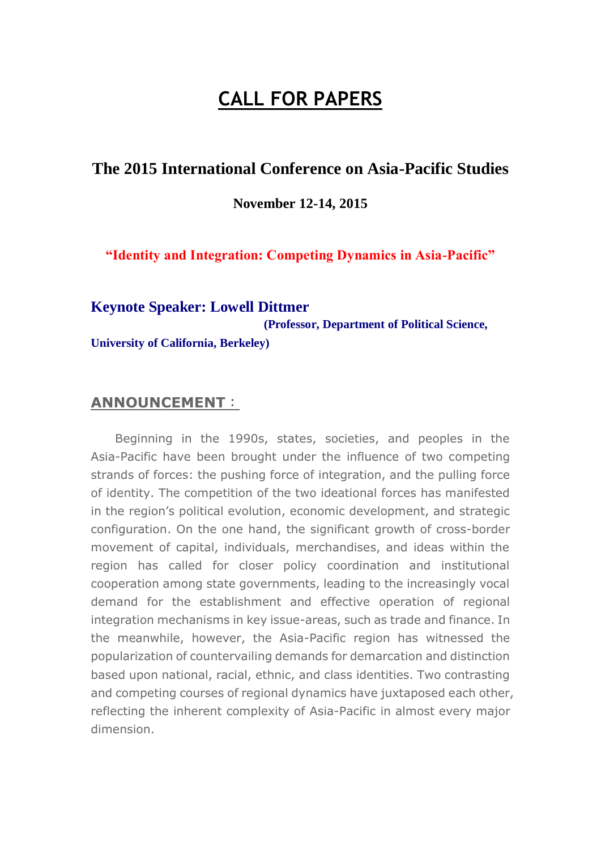# **CALL FOR PAPERS**

### **The 2015 International Conference on Asia-Pacific Studies**

**November 12-14, 2015**

**"Identity and Integration: Competing Dynamics in Asia-Pacific"**

#### **Keynote Speaker: Lowell Dittmer**

**(Professor, Department of Political Science,** 

**University of California, Berkeley)**

#### **ANNOUNCEMENT**:

Beginning in the 1990s, states, societies, and peoples in the Asia-Pacific have been brought under the influence of two competing strands of forces: the pushing force of integration, and the pulling force of identity. The competition of the two ideational forces has manifested in the region's political evolution, economic development, and strategic configuration. On the one hand, the significant growth of cross-border movement of capital, individuals, merchandises, and ideas within the region has called for closer policy coordination and institutional cooperation among state governments, leading to the increasingly vocal demand for the establishment and effective operation of regional integration mechanisms in key issue-areas, such as trade and finance. In the meanwhile, however, the Asia-Pacific region has witnessed the popularization of countervailing demands for demarcation and distinction based upon national, racial, ethnic, and class identities. Two contrasting and competing courses of regional dynamics have juxtaposed each other, reflecting the inherent complexity of Asia-Pacific in almost every major dimension.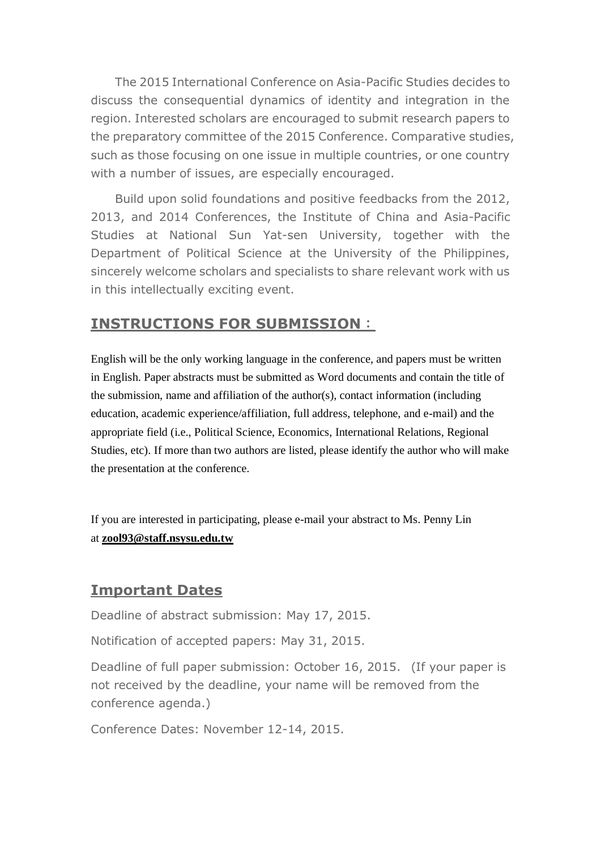The 2015 International Conference on Asia-Pacific Studies decides to discuss the consequential dynamics of identity and integration in the region. Interested scholars are encouraged to submit research papers to the preparatory committee of the 2015 Conference. Comparative studies, such as those focusing on one issue in multiple countries, or one country with a number of issues, are especially encouraged.

Build upon solid foundations and positive feedbacks from the 2012, 2013, and 2014 Conferences, the Institute of China and Asia-Pacific Studies at National Sun Yat-sen University, together with the Department of Political Science at the University of the Philippines, sincerely welcome scholars and specialists to share relevant work with us in this intellectually exciting event.

## **INSTRUCTIONS FOR SUBMISSION**:

English will be the only working language in the conference, and papers must be written in English. Paper abstracts must be submitted as Word documents and contain the title of the submission, name and affiliation of the author(s), contact information (including education, academic experience/affiliation, full address, telephone, and e-mail) and the appropriate field (i.e., Political Science, Economics, International Relations, Regional Studies, etc). If more than two authors are listed, please identify the author who will make the presentation at the conference.

If you are interested in participating, please e-mail your abstract to Ms. Penny Lin at **[zool93@staff.nsysu.edu.tw](mailto:zool93@staff.nsysu.edu.tw)**

## **Important Dates**

Deadline of abstract submission: May 17, 2015.

Notification of accepted papers: May 31, 2015.

Deadline of full paper submission: October 16, 2015. (If your paper is not received by the deadline, your name will be removed from the conference agenda.)

Conference Dates: November 12-14, 2015.